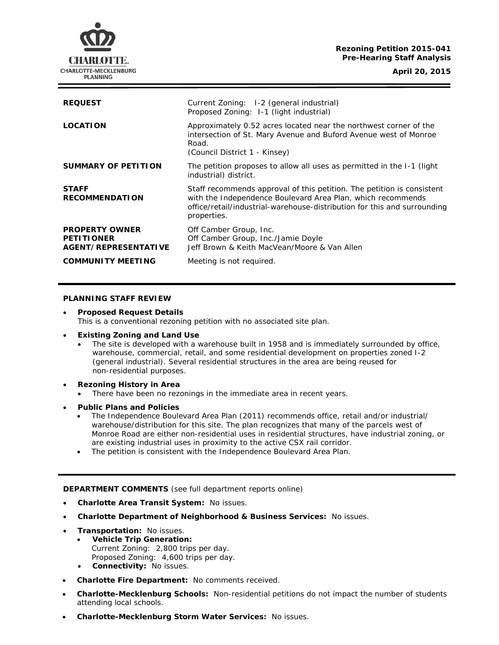# **Rezoning Petition 2015-041 Pre-Hearing Staff Analysis**

CHARLOTTE. **CHARLOTTE-MECKLENBURG PLANNING** 

**April 20, 2015**

| <b>REQUEST</b>                                                     | Current Zoning: I-2 (general industrial)<br>Proposed Zoning: 1-1 (light industrial)                                                                                                                                              |
|--------------------------------------------------------------------|----------------------------------------------------------------------------------------------------------------------------------------------------------------------------------------------------------------------------------|
| <b>LOCATION</b>                                                    | Approximately 0.52 acres located near the northwest corner of the<br>intersection of St. Mary Avenue and Buford Avenue west of Monroe<br>Road.<br>(Council District 1 - Kinsey)                                                  |
| SUMMARY OF PETITION                                                | The petition proposes to allow all uses as permitted in the I-1 (light<br>industrial) district.                                                                                                                                  |
| <b>STAFF</b><br><b>RECOMMENDATION</b>                              | Staff recommends approval of this petition. The petition is consistent<br>with the Independence Boulevard Area Plan, which recommends<br>office/retail/industrial-warehouse-distribution for this and surrounding<br>properties. |
| <b>PROPERTY OWNER</b><br><b>PETITIONER</b><br>AGENT/REPRESENTATIVE | Off Camber Group, Inc.<br>Off Camber Group, Inc./Jamie Doyle<br>Jeff Brown & Keith MacVean/Moore & Van Allen                                                                                                                     |
| <b>COMMUNITY MEETING</b>                                           | Meeting is not required.                                                                                                                                                                                                         |

### **PLANNING STAFF REVIEW**

• **Proposed Request Details** This is a conventional rezoning petition with no associated site plan.

#### • **Existing Zoning and Land Use**

- The site is developed with a warehouse built in 1958 and is immediately surrounded by office, warehouse, commercial, retail, and some residential development on properties zoned I-2 (general industrial). Several residential structures in the area are being reused for non-residential purposes.
- **Rezoning History in Area**
	- There have been no rezonings in the immediate area in recent years.
- **Public Plans and Policies**
	- The *Independence Boulevard Area Plan* (2011) recommends office, retail and/or industrial/ warehouse/distribution for this site. The plan recognizes that many of the parcels west of Monroe Road are either non-residential uses in residential structures, have industrial zoning, or are existing industrial uses in proximity to the active CSX rail corridor.
	- The petition is consistent with the *Independence Boulevard Area Plan*.

**DEPARTMENT COMMENTS** (see full department reports online)

- **Charlotte Area Transit System:** No issues.
- **Charlotte Department of Neighborhood & Business Services:** No issues.
- **Transportation:** No issues.
	- **Vehicle Trip Generation:** Current Zoning: 2,800 trips per day. Proposed Zoning: 4,600 trips per day.
	- **Connectivity:** No issues.
- **Charlotte Fire Department:** No comments received.
- **Charlotte-Mecklenburg Schools:** Non-residential petitions do not impact the number of students attending local schools.
- **Charlotte-Mecklenburg Storm Water Services:** No issues.